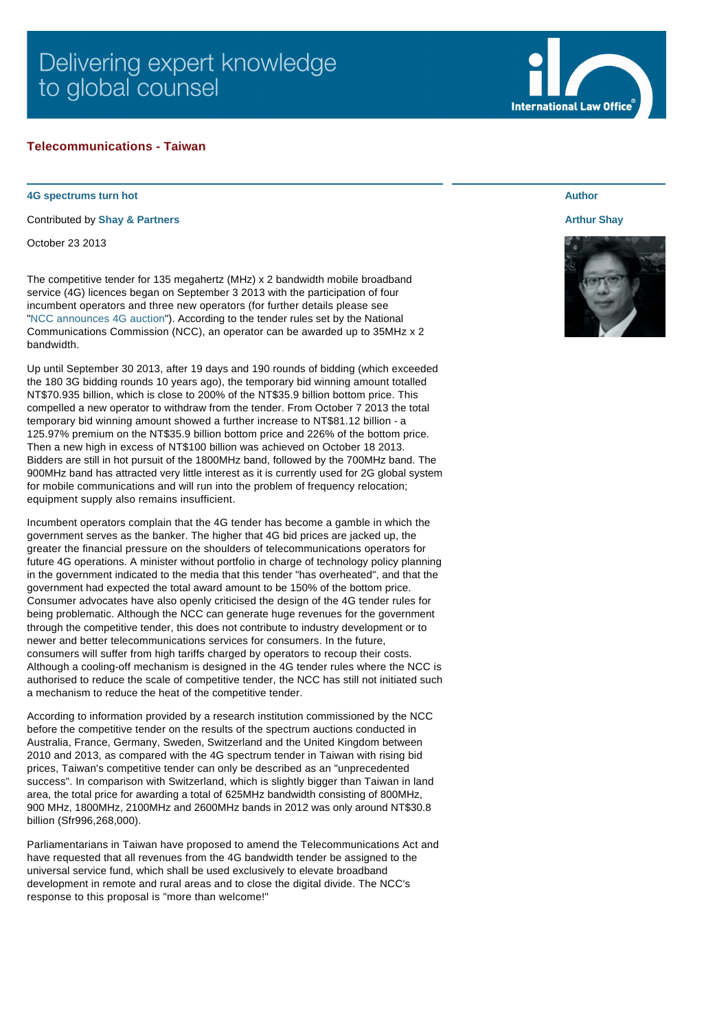# Delivering expert knowledge to global counsel

## **Telecommunications - Taiwan**

#### **4G spectrums turn hot**

Contributed by **[Shay & Partners](http://www.internationallawoffice.com/gesr.ashx?l=7K3Y0P0)**

October 23 2013

The competitive tender for 135 megahertz (MHz) x 2 bandwidth mobile broadband service (4G) licences began on September 3 2013 with the participation of four incumbent operators and three new operators (for further details please see ["NCC announces 4G auction"](http://www.internationallawoffice.com/gesr.ashx?l=7K3Y0PT)). According to the tender rules set by the National Communications Commission (NCC), an operator can be awarded up to 35MHz x 2 bandwidth.

Up until September 30 2013, after 19 days and 190 rounds of bidding (which exceeded the 180 3G bidding rounds 10 years ago), the temporary bid winning amount totalled NT\$70.935 billion, which is close to 200% of the NT\$35.9 billion bottom price. This compelled a new operator to withdraw from the tender. From October 7 2013 the total temporary bid winning amount showed a further increase to NT\$81.12 billion - a 125.97% premium on the NT\$35.9 billion bottom price and 226% of the bottom price. Then a new high in excess of NT\$100 billion was achieved on October 18 2013. Bidders are still in hot pursuit of the 1800MHz band, followed by the 700MHz band. The 900MHz band has attracted very little interest as it is currently used for 2G global system for mobile communications and will run into the problem of frequency relocation; equipment supply also remains insufficient.

Incumbent operators complain that the 4G tender has become a gamble in which the government serves as the banker. The higher that 4G bid prices are jacked up, the greater the financial pressure on the shoulders of telecommunications operators for future 4G operations. A minister without portfolio in charge of technology policy planning in the government indicated to the media that this tender "has overheated", and that the government had expected the total award amount to be 150% of the bottom price. Consumer advocates have also openly criticised the design of the 4G tender rules for being problematic. Although the NCC can generate huge revenues for the government through the competitive tender, this does not contribute to industry development or to newer and better telecommunications services for consumers. In the future, consumers will suffer from high tariffs charged by operators to recoup their costs. Although a cooling-off mechanism is designed in the 4G tender rules where the NCC is authorised to reduce the scale of competitive tender, the NCC has still not initiated such a mechanism to reduce the heat of the competitive tender.

According to information provided by a research institution commissioned by the NCC before the competitive tender on the results of the spectrum auctions conducted in Australia, France, Germany, Sweden, Switzerland and the United Kingdom between 2010 and 2013, as compared with the 4G spectrum tender in Taiwan with rising bid prices, Taiwan's competitive tender can only be described as an "unprecedented success". In comparison with Switzerland, which is slightly bigger than Taiwan in land area, the total price for awarding a total of 625MHz bandwidth consisting of 800MHz, 900 MHz, 1800MHz, 2100MHz and 2600MHz bands in 2012 was only around NT\$30.8 billion (Sfr996,268,000).

Parliamentarians in Taiwan have proposed to amend the Telecommunications Act and have requested that all revenues from the 4G bandwidth tender be assigned to the universal service fund, which shall be used exclusively to elevate broadband development in remote and rural areas and to close the digital divide. The NCC's response to this proposal is "more than welcome!"

# **Author**

### **[Arthur Shay](http://www.internationallawoffice.com/gesr.ashx?l=7K3Y0R4)**